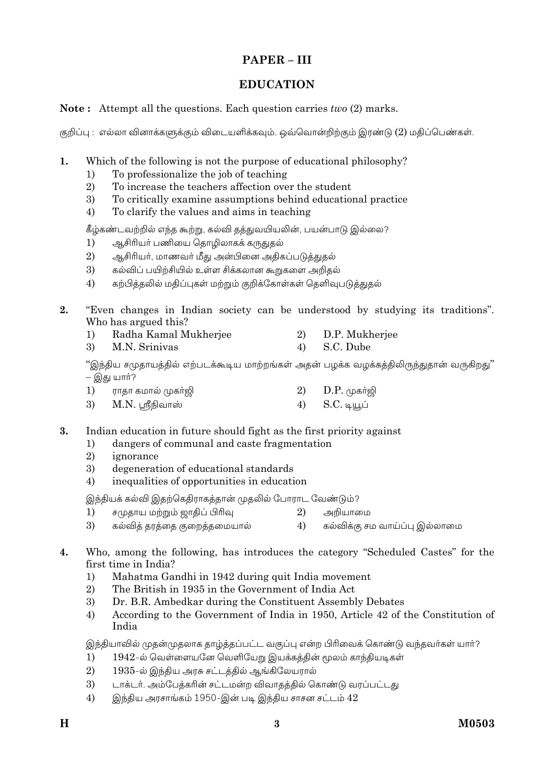# PAPER - III

# **EDUCATION**

## **Note:** Attempt all the questions. Each question carries two (2) marks.

குறிப்பு : எல்லா வினாக்களுக்கும் விடையளிக்கவும். ஒவ்வொன்றிற்கும் இரண்டு (2) மதிப்பெண்கள்.

- $\mathbf{1}$ Which of the following is not the purpose of educational philosophy?
	- $1)$ To professionalize the job of teaching
	- 2) To increase the teachers affection over the student
	- 3) To critically examine assumptions behind educational practice
	- To clarify the values and aims in teaching  $4)$

கீழ்கண்டவற்றில் எந்த கூற்று, கல்வி தத்துவயியலின், பயன்பாடு இல்லை?

- $1)$ ஆசிரியர் பணியை தொழிலாகக் கருதுதல்
- 2) ஆசிரியர், மாணவர் மீது அன்பினை அதிகப்படுத்துதல்
- 3) கல்விப் பயிற்சியில் உள்ள சிக்கலான கூறுகளை அறிகல்
- $4)$ கற்பித்தலில் மதிப்புகள் மற்றும் குறிக்கோள்கள் தெளிவுபடுத்துதல்

 $2.$ "Even changes in Indian society can be understood by studying its traditions". Who has argued this?

- $1)$ Radha Kamal Mukherjee 2) D.P. Mukherjee
- S.C. Dube 3) M.N. Srinivas  $4)$

"இந்திய சமுதாயத்தில் எற்படக்கூடிய மாற்றங்கள் அதன் பழக்க வழக்கத்திலிருந்துதான் வருகிறது" – இது யார்?

| $1)$ ராதா கமால் முகா்ஜி | $2)$ D.P. முகா்ஜி |
|-------------------------|-------------------|
| 3) M.N. ஸ்ரீநிவாஸ்      | 4) S.C. டியூப்    |

### 3. Indian education in future should fight as the first priority against

- dangers of communal and caste fragmentation  $1)$
- $\overline{2}$ ignorance
- 3) degeneration of educational standards
- $4)$ inequalities of opportunities in education

இந்தியக் கல்வி இதற்கெதிராகத்தான் முதலில் போராட வேண்டும்?

- $1)$ சமுதாய மற்றும் ஜாதிப் பிரிவு 2) அறியாமை
- $3)$ கல்வித் தரத்தை குறைத்தமையால்  $4)$ கல்விக்கு சம வாய்ப்பு இல்லாமை
- $\overline{4}$ . Who, among the following, has introduces the category "Scheduled Castes" for the first time in India?
	- Mahatma Gandhi in 1942 during quit India movement  $1)$
	- $\overline{2}$ The British in 1935 in the Government of India Act
	- Dr. B.R. Ambedkar during the Constituent Assembly Debates  $\mathcal{E}$
	- $4)$ According to the Government of India in 1950, Article 42 of the Constitution of India

இந்தியாவில் முதன்முதலாக தாழ்த்தப்பட்ட வகுப்பு என்ற பிரிவைக் கொண்டு வந்தவர்கள் யார்?

- 1942-ல் வெள்ளையனே வெளியேறு இயக்கத்தின் மூலம் காந்தியடிகள்  $1)$
- 1935-ல் இந்திய அரசு சட்டத்தில் ஆங்கிலேயரால்  $(2)$
- டாக்டர். அம்பேக்கரின் சட்டமன்ற விவாதத்தில் கொண்டு வரப்பட்டது  $\mathcal{E}$
- $4)$ இந்திய அரசாங்கம் 1950-இன் படி இந்திய சாசன சட்டம்  $42$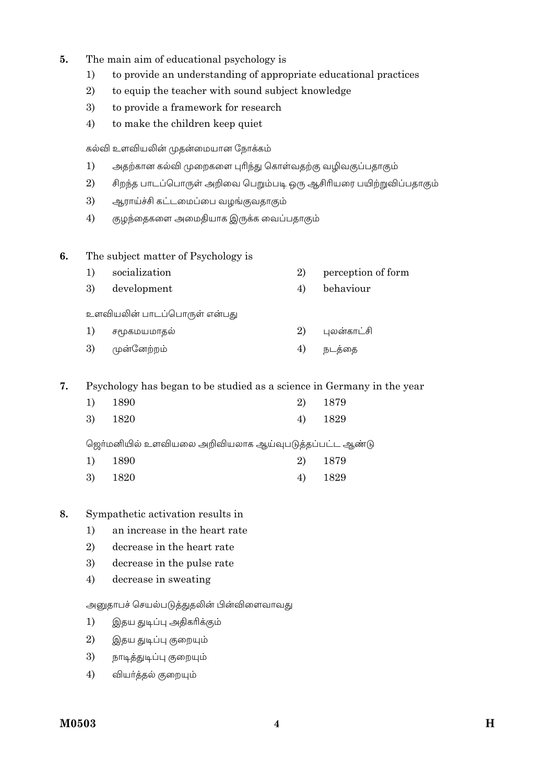- **5.** The main aim of educational psychology is
	- 1) to provide an understanding of appropriate educational practices
	- 2) to equip the teacher with sound subject knowledge
	- 3) to provide a framework for research
	- 4) to make the children keep quiet

கல்வி உளவியலின் முதன்மையான நோக்கம்

- $1$ ) அதற்கான கல்வி முறைகளை புரிந்து கொள்வதற்கு வழிவகுப்பதாகும்
- 2) சிறந்த பாடப்பொருள் அறிவை பெறும்படி ஒரு ஆசிரியரை பயிற்றுவிப்பதாகும்
- 3) ஆராய்ச்சி கட்டமைப்பை வழங்குவதாகும்
- $4$ ) குழந்தைகளை அமைதியாக இருக்க வைப்பதாகும்
- **6.** The subject matter of Psychology is
	- 1) socialization 2) perception of form
	- 3) development 4) behaviour

உளவியலின் பாடப்பொருள் என்பது

1) சமூகமயமாதல்  $(2)$  புலன்காட்சி 3) •ß÷ÚØÓ® 4) |hzøu

**7.** Psychology has began to be studied as a science in Germany in the year

| 1) 1890 | 2) 1879 |
|---------|---------|
| 3) 1820 | 4) 1829 |

ஜெர்மனியில் உளவியலை அறிவியலாக ஆய்வுபடுத்தப்பட்ட ஆண்டு

| 1) 1890 | 2) 1879 |
|---------|---------|
| 3) 1820 | 4) 1829 |

- **8.** Sympathetic activation results in
	- 1) an increase in the heart rate
	- 2) decrease in the heart rate
	- 3) decrease in the pulse rate
	- 4) decrease in sweating

அனுதாபச் செயல்படுத்துதலின் பின்விளைவாவது

- 1) இதய துடிப்பு அதிகரிக்கும்
- 2) இதய துடிப்பு குறையும்
- 3) நாடித்துடிப்பு குறையும்
- 4) வியர்த்தல் குறையும்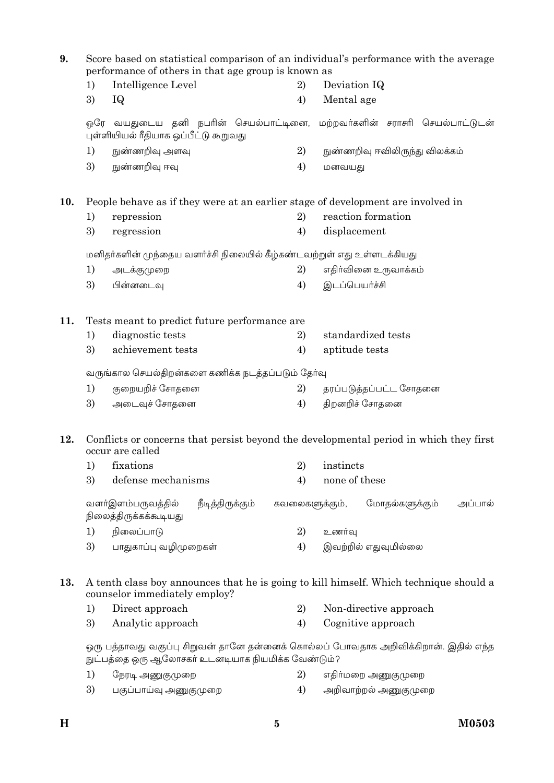**9.** Score based on statistical comparison of an individual's performance with the average performance of others in that age group is known as 1) Intelligence Level 2) Deviation IQ 3) IQ 4) Mental age ஒரே வயதுடைய தனி நபரின் செயல்பாட்டினை, மற்றவர்களின் சராசரி செயல்பாட்டுடன் ்பள்ளியியல் ரீதியாக ஒப்பீட்டு கூறுவது 1) ~snÔÄ AÍÄ 2) ~snÔÄ D¼¸¢x »UP® 3) ~snÔÄ DÄ 4) ©ÚÁ¯x **10.** People behave as if they were at an earlier stage of development are involved in 1) repression 2) reaction formation 3) regression 4) displacement மனிதர்களின் முந்தைய வளர்ச்சி நிலையில் கீழ்கண்டவற்றுள் எது உள்ளடக்கியது  $1)$  அடக்குமுறை முறை முறை 2) எதிர்வினை உருவாக்கம் 3) ¤ßÚøhÄ 4) Ch¨ö£¯ºa] **11.** Tests meant to predict future performance are 1) diagnostic tests 2) standardized tests 3) achievement tests 4) aptitude tests வருங்கால செயல்கிறன்களை கணிக்க நடக்கப்படும் கேர்வ 1) SøÓ¯Ôa ÷\õuøÚ 2) u쨣kzu¨£mh ÷\õuøÚ  $3)$  அடைவுச் சோகனை  $4)$  கிறனரிச் சோகனை **12.** Conflicts or concerns that persist beyond the developmental period in which they first occur are called 1) fixations 2) instincts 3) defense mechanisms 4) none of these வளா்இளம்பருவத்தில் நீடித்திருக்கும் கவலைகளுக்கும், மோதல்களுக்கும் அப்பால் நிலைத்திருக்கக்கூடியது 1) {ø»¨£õk 2) EnºÄ 3) பாதுகாப்பு வழிமுறைகள்  $\qquad \qquad \text{4)}$  இவற்றில் எதுவுமில்லை **13.** A tenth class boy announces that he is going to kill himself. Which technique should a counselor immediately employ? 1) Direct approach 2) Non-directive approach 3) Analytic approach 4) Cognitive approach ஒரு பத்தாவது வகுப்பு சிறுவன் தானே தன்னைக் கொல்லப் போவதாக அறிவிக்கிறான். இதில் எந்த நுட்பத்தை ஒரு ஆலோசகர் உடனடியாக நியமிக்க வேண்டும்?

- $1)$  பெருடி அணுகுமுறை பெரும்  $(2)$  எதிர்மறை அணுகுமுறை
- 3) பகுப்பாய்வு அணுகுமுறை  $(4)$  அறிவாற்றல் அணுகுமுறை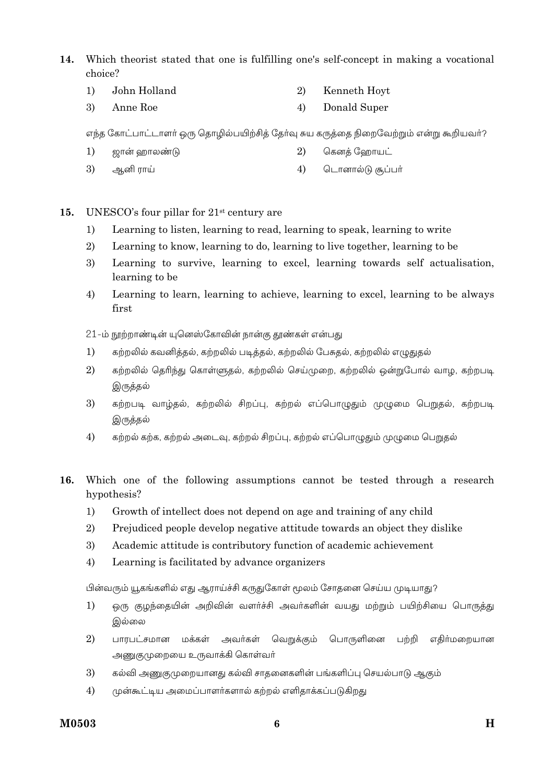$14.$ Which theorist stated that one is fulfilling one's self-concept in making a vocational choice?

- $1)$ John Holland  $2)$ Kenneth Hovt
- 3) Anne Roe  $4)$ Donald Super

எந்த கோட்பாட்டாளா் ஒரு தொழில்பயிற்சித் தோ்வு சுய கருத்தை நிறைவேற்றும் என்று கூறியவா்?

- $1)$ ஜான் ஹாலண்டு 2) கெனத் ஹோயட்
- 3) ஆனி ராய் 4) டொனால்டு சூப்பர்

#### 15. UNESCO's four pillar for 21<sup>st</sup> century are

- Learning to listen, learning to read, learning to speak, learning to write  $1)$
- 2) Learning to know, learning to do, learning to live together, learning to be
- 3) Learning to survive, learning to excel, learning towards self actualisation, learning to be
- 4) Learning to learn, learning to achieve, learning to excel, learning to be always first

21-ம் நூற்றாண்டின் யுனெஸ்கோவின் நான்கு தூண்கள் என்பது

- $1)$ கற்றலில் கவனித்தல், கற்றலில் படித்தல், கற்றலில் பேசுதல், கற்றலில் எழுதுதல்
- 2) கற்றலில் தெரிந்து கொள்ளுதல், கற்றலில் செய்முறை, கற்றலில் ஒன்றுபோல் வாழ, கற்றபடி இருத்தல்
- கற்றபடி வாழ்தல், கற்றலில் சிறப்பு, கற்றல் எப்பொழுதும் முழுமை பெறுகல், கற்றபடி 3) இருத்தல்
- கற்றல் கற்க, கற்றல் அடைவு, கற்றல் சிறப்பு, கற்றல் எப்பொழுதும் முழுமை பெறுதல் 4)
- 16. Which one of the following assumptions cannot be tested through a research hypothesis?
	- Growth of intellect does not depend on age and training of any child  $1)$
	- 2) Prejudiced people develop negative attitude towards an object they dislike
	- 3) Academic attitude is contributory function of academic achievement
	- 4) Learning is facilitated by advance organizers

பின்வரும் யூகங்களில் எது ஆராய்ச்சி கருதுகோள் மூலம் சோதனை செய்ய முடியாது?

- ஒரு குழந்தையின் அறிவின் வளர்ச்சி அவர்களின் வயது மற்றும் பயிற்சியை பொருத்து  $1)$ இல்லை
- 2) பாரபட்சமான மக்கள் அவர்கள் வெறுக்கும் பொருளினை பற்றி எதிர்மறையான அணுகுமுறையை உருவாக்கி கொள்வா்
- 3) கல்வி அணுகுமுறையானது கல்வி சாதனைகளின் பங்களிப்பு செயல்பாடு ஆகும்
- 4) முன்கூட்டிய அமைப்பாளர்களால் கற்றல் எளிதாக்கப்படுகிறது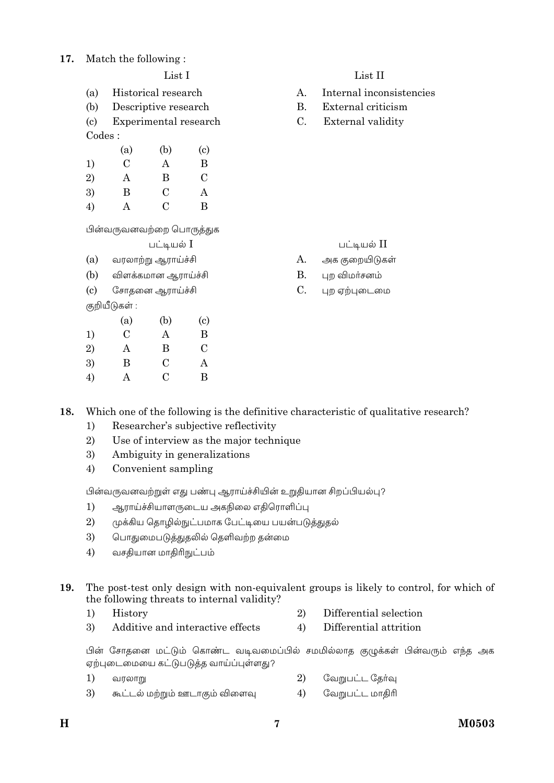### $17$ Match the following:

## List I

- Historical research  $(a)$
- $(b)$ Descriptive research
- $\left( \mathrm{c}\right)$ Experimental research  $Codes:$

|    | (a)     | (b)           | $\left( \mathrm{c}\right)$ |
|----|---------|---------------|----------------------------|
| 1) | $\rm C$ | A             | B                          |
| 2) | A       | В             | С                          |
| 3) | B       | C             | А                          |
| 4) | A       | $\mathcal{C}$ | B                          |

பின்வருவனவற்றை பொருத்துக

பட்டியல் I

- $(a)$ வரலாற்று ஆராய்ச்சி
- $(b)$ விளக்கமான ஆராய்ச்சி
- சோதனை ஆராய்ச்சி  $\left( \mathrm{e}\right)$

குறியீடுகள் :

|    | (a) | (b) | $\left( \mathrm{e}\right)$ |
|----|-----|-----|----------------------------|
| 1) | C   | Α   | B                          |
| 2) | A   | B   | С                          |
| 3) | B   | С   | A                          |
| 4) | А   | €   | B                          |

# List II

- $\mathbf{A}$ Internal inconsistencies
- **B.** External criticism
- $C_{\cdot}$ External validity

பட்டியல் II

- $A_{1}$ அக குறையிடுகள்
- $\mathbf{B}$ புற விமா்சனம்
- $C_{\cdot}$ புற ஏற்புடைமை

Which one of the following is the definitive characteristic of qualitative research? 18.

- Researcher's subjective reflectivity  $1)$
- $\overline{2}$ Use of interview as the major technique
- $\mathbf{3}$ Ambiguity in generalizations
- $4)$ Convenient sampling

பின்வருவனவற்றுள் எது பண்பு ஆராய்ச்சியின் உறுதியான சிறப்பியல்பு?

- ஆராய்ச்சியாளருடைய அகநிலை எதிரொளிப்பு  $1)$
- $\overline{2}$ முக்கிய தொழில்நுட்பமாக பேட்டியை பயன்படுத்துதல்
- 3) பொதுமைபடுத்துதலில் தெளிவற்ற தன்மை
- $4)$ வசதியான மாதிரிநுட்பம்

19. The post-test only design with non-equivalent groups is likely to control, for which of the following threats to internal validity?

- $1)$ 2) Differential selection History
- 3) Additive and interactive effects  $4)$ Differential attrition

பின் சோதனை மட்டும் கொண்ட வடிவமைப்பில் சமமில்லாத குழுக்கள் பின்வரும் எந்த அக ஏற்புடைமையை கட்டுபடுத்த வாய்ப்புள்ளது?

- $2)$  $1)$ வேறுபட்ட தேர்வு வரலாறு
- 3) கூட்டல் மற்றும் ஊடாகும் விளைவு  $4)$ வேறுபட்ட மாதிரி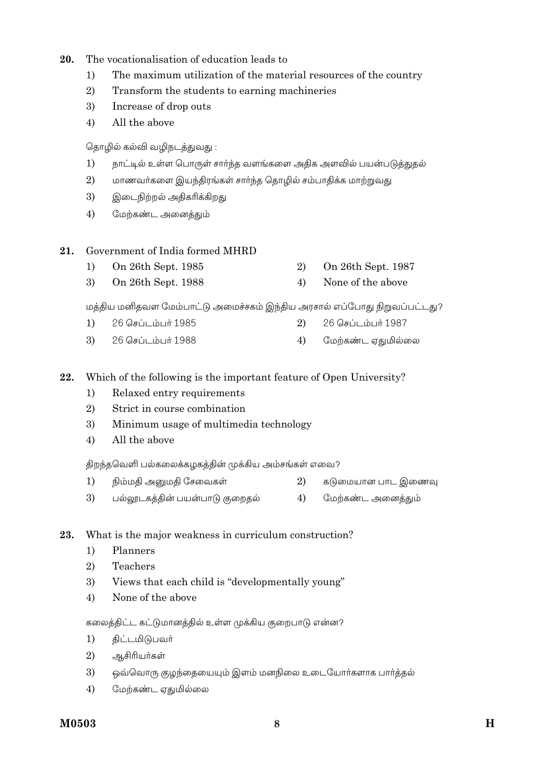## **20.** The vocationalisation of education leads to

- 1) The maximum utilization of the material resources of the country
- 2) Transform the students to earning machineries
- 3) Increase of drop outs
- 4) All the above

தொழில் கல்வி வழிநடத்துவது:

- 1) நாட்டில் உள்ள பொருள் சார்ந்த வளங்களை அதிக அளவில் பயன்படுத்துதல்
- $2)$  மாணவர்களை இயந்திரங்கள் சார்ந்த தொழில் சம்பாதிக்க மாற்றுவது
- 3) இடைநிற்றல் அதிகரிக்கிறது
- 4) மேற்கண்ட அனைத்தும்

### **21.** Government of India formed MHRD

- 1) On 26th Sept. 1985 2) On 26th Sept. 1987
- 3) On 26th Sept. 1988 4) None of the above

மத்திய மனிதவள மேம்பாட்டு அமைச்சகம் இந்திய அரசால் எப்போது நிறுவப்பட்டது?

- 1) 26 செப்டம்பர் 1985 20 20 26 செப்டம்பர் 1987
- 3) 26 ö\¨h®£º 1988 4) ÷©ØPsh HxªÀø»
- **22.** Which of the following is the important feature of Open University?
	- 1) Relaxed entry requirements
	- 2) Strict in course combination
	- 3) Minimum usage of multimedia technology
	- 4) All the above

திறந்தவெளி பல்கலைக்கழகத்தின் முக்கிய அம்சங்கள் எவை?

- 1) நிம்மதி அனுமதி சேவைகள்  $\qquad \qquad \text{2)}$  கடுமையான பாட இணைவு
- $3)$  பல்லூடகத்தின் பயன்பாடு குறைதல்  $4)$  மேற்கண்ட அனைத்தும்
- **23.** What is the major weakness in curriculum construction?
	- 1) Planners
	- 2) Teachers
	- 3) Views that each child is "developmentally young"
	- 4) None of the above

கலைத்திட்ட கட்டுமானத்தில் உள்ள முக்கிய குறைபாடு என்ன?

- 1) திட்டமிடுபவர்
- $2)$  ஆசிரியர்கள்
- 3) ஒவ்வொரு குழந்தையையும் இளம் மனநிலை உடையோர்களாக பார்த்தல்
- 4) <sup>பேற்கண்ட எகுமில்லை</sup>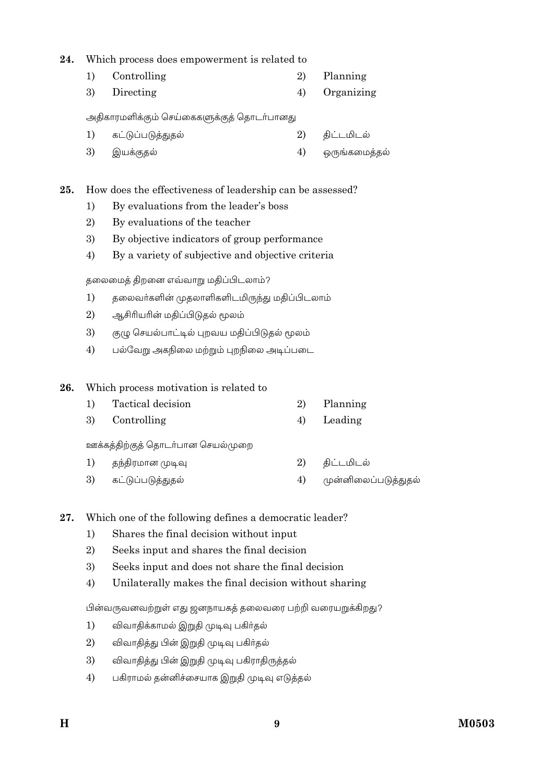- 24. Which process does empowerment is related to
	- $1)$ Controlling  $2)$ Planning
	- 3) Directing  $4)$ Organizing

அதிகாரமளிக்கும் செய்கைகளுக்குத் தொடர்பானது

- $1)$ கட்டுப்படுத்துதல் 2) திட்டமிடல்
- 3)  $\overline{4}$ இயக்குதல் ஒருங்கமைத்தல்

How does the effectiveness of leadership can be assessed? 25.

- $1)$ By evaluations from the leader's boss
- $\overline{2}$ By evaluations of the teacher
- 3) By objective indicators of group performance
- $4)$ By a variety of subjective and objective criteria

தலைமைத் திறனை எவ்வாறு மதிப்பிடலாம்?

- $1)$ தலைவர்களின் முதலாளிகளிடமிருந்து மதிப்பிடலாம்
- $\overline{2}$ ஆசிரியரின் மதிப்பிடுதல் மூலம்
- $\mathbf{3}$ குழு செயல்பாட்டில் புறவய மதிப்பிடுதல் மூலம்
- $4)$ பல்வேறு அகநிலை மற்றும் புறநிலை அடிப்படை

#### 26. Which process motivation is related to

- $1)$ Tactical decision 2) Planning
- 3) Controlling 4) Leading

ஊக்கத்திற்குத் தொடர்பான செயல்முறை

- தந்திரமான முடிவு 2) திட்டமிடல்  $1)$
- 3) கட்டுப்படுத்துதல்  $4)$ முன்னிலைப்படுத்துதல்
- Which one of the following defines a democratic leader? 27.
	- $1)$ Shares the final decision without input
	- $\overline{2}$ Seeks input and shares the final decision
	- 3) Seeks input and does not share the final decision
	- Unilaterally makes the final decision without sharing  $4)$

பின்வருவனவற்றுள் எது ஜனநாயகத் தலைவரை பற்றி வரையறுக்கிறது?

- விவாதிக்காமல் இறுதி முடிவு பகிர்தல்  $1)$
- $2)$ விவாதித்து பின் இறுதி முடிவு பகிர்தல்
- 3) விவாதித்து பின் இறுதி முடிவு பகிராதிருத்தல்
- $4)$ பகிராமல் தன்னிச்சையாக இறுதி முடிவு எடுத்தல்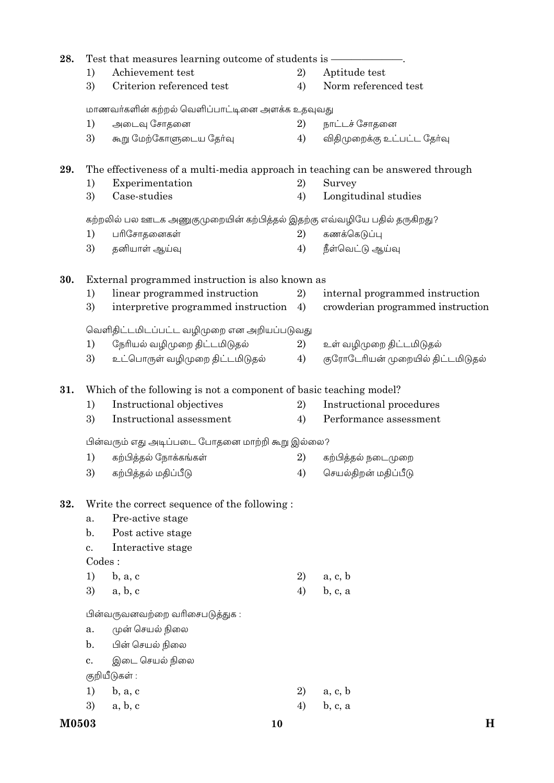| 28.<br>Test that measures learning outcome of students is — |                                                                    |                                                                                 |    |                                   |  |
|-------------------------------------------------------------|--------------------------------------------------------------------|---------------------------------------------------------------------------------|----|-----------------------------------|--|
|                                                             | 1)                                                                 | Achievement test                                                                | 2) | Aptitude test                     |  |
|                                                             | 3)                                                                 | Criterion referenced test                                                       | 4) | Norm referenced test              |  |
|                                                             |                                                                    | மாணவர்களின் கற்றல் வெளிப்பாட்டினை அளக்க உதவுவது                                 |    |                                   |  |
|                                                             | 1)                                                                 | அடைவு சோதனை                                                                     | 2) | நாட்டச் சோதனை                     |  |
|                                                             | 3)                                                                 | கூறு மேற்கோளுடைய தேர்வு                                                         | 4) | விதிமுறைக்கு உட்பட்ட தேர்வு       |  |
| 29.                                                         |                                                                    | The effectiveness of a multi-media approach in teaching can be answered through |    |                                   |  |
|                                                             | 1)                                                                 | Experimentation                                                                 | 2) | Survey                            |  |
|                                                             | 3)                                                                 | Case-studies                                                                    | 4) | Longitudinal studies              |  |
|                                                             |                                                                    | கற்றலில் பல ஊடக அணுகுமுறையின் கற்பித்தல் இதற்கு எவ்வழியே பதில் தருகிறது?        |    |                                   |  |
|                                                             | 1)                                                                 | பரிசோதனைகள்                                                                     | 2) | கணக்கெடுப்பு                      |  |
|                                                             | 3)                                                                 | தனியாள் ஆய்வு                                                                   | 4) | நீள்வெட்டு ஆய்வு                  |  |
| 30.                                                         |                                                                    | External programmed instruction is also known as                                |    |                                   |  |
|                                                             | 1)                                                                 | linear programmed instruction                                                   | 2) | internal programmed instruction   |  |
|                                                             | 3)                                                                 | interpretive programmed instruction                                             | 4) | crowderian programmed instruction |  |
|                                                             |                                                                    | வெளிதிட்டமிடப்பட்ட வழிமுறை என அறியப்படுவது                                      |    |                                   |  |
|                                                             | 1)                                                                 | நேரியல் வழிமுறை திட்டமிடுதல்                                                    | 2) | உள் வழிமுறை திட்டமிடுதல்          |  |
|                                                             | 3)                                                                 | உட்பொருள் வழிமுறை திட்டமிடுதல்                                                  | 4) | குரோடேரியன் முறையில் திட்டமிடுதல் |  |
| 31.                                                         | Which of the following is not a component of basic teaching model? |                                                                                 |    |                                   |  |
|                                                             | 1)                                                                 | Instructional objectives                                                        | 2) | Instructional procedures          |  |
|                                                             | 3)                                                                 | Instructional assessment                                                        | 4) | Performance assessment            |  |
|                                                             |                                                                    | பின்வரும் எது அடிப்படை போதனை மாற்றி கூறு இல்லை?                                 |    |                                   |  |
|                                                             | 1)                                                                 | கற்பித்தல் நோக்கங்கள்                                                           | 2) | கற்பித்தல் நடைமுறை                |  |
|                                                             | 3)                                                                 | கற்பித்தல் மதிப்பீடு                                                            | 4) | செயல்திறன் மதிப்பீடு              |  |
| 32.                                                         |                                                                    | Write the correct sequence of the following:                                    |    |                                   |  |
|                                                             | a.                                                                 | Pre-active stage                                                                |    |                                   |  |
|                                                             | $\mathbf{b}$ .                                                     | Post active stage                                                               |    |                                   |  |
|                                                             | c.                                                                 | Interactive stage                                                               |    |                                   |  |
|                                                             | Codes:                                                             |                                                                                 |    |                                   |  |
|                                                             | 1)                                                                 | b, a, c                                                                         | 2) | a, c, b                           |  |
|                                                             | 3)                                                                 | a, b, c                                                                         | 4) | b, c, a                           |  |
|                                                             |                                                                    | பின்வருவனவற்றை வரிசைபடுத்துக:                                                   |    |                                   |  |
|                                                             | $a$ .                                                              | முன் செயல் நிலை                                                                 |    |                                   |  |
|                                                             | $\mathbf{b}$ .                                                     | பின் செயல் நிலை                                                                 |    |                                   |  |
|                                                             | c.                                                                 | இடை செயல் நிலை                                                                  |    |                                   |  |
|                                                             |                                                                    | குறியீடுகள் :                                                                   |    |                                   |  |
|                                                             | 1)                                                                 | b, a, c                                                                         | 2) | a, c, b                           |  |
|                                                             | 3)                                                                 | a, b, c                                                                         | 4) | b, c, a                           |  |
| M0503                                                       |                                                                    | 10                                                                              |    | $\bf H$                           |  |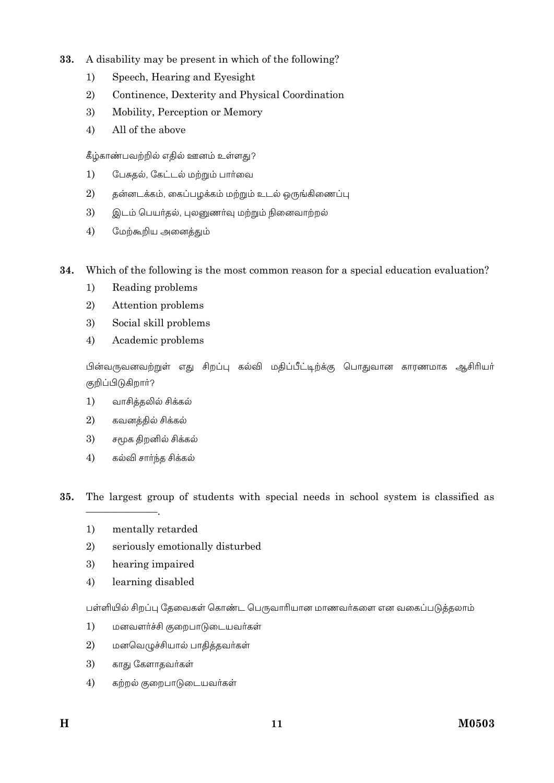- 33. A disability may be present in which of the following?
	- Speech, Hearing and Eyesight  $1)$
	- Continence, Dexterity and Physical Coordination 2)
	- 3) Mobility, Perception or Memory
	- $4)$ All of the above

கீழ்காண்பவற்றில் எதில் ஊனம் உள்ளது?

- $1)$ பேசுதல், கேட்டல் மற்றும் பார்வை
- $\overline{2}$ தன்னடக்கம், கைப்பழக்கம் மற்றும் உடல் ஒருங்கிணைப்பு
- $\overline{3}$ ) இடம் பெயர்தல், புலனுணர்வு மற்றும் நினைவாற்றல்
- $4)$ மேற்கூறிய அனைத்தும்

34. Which of the following is the most common reason for a special education evaluation?

- $1)$ Reading problems
- $2)$ Attention problems
- 3) Social skill problems
- $4)$ Academic problems

பின்வருவனவற்றுள் எது சிறப்பு கல்வி மதிப்பீட்டிற்க்கு பொதுவான காரணமாக ஆசிரியர் குறிப்பிடுகிறார்?

- $1)$ வாசித்தலில் சிக்கல்
- $(2)$ கவனத்தில் சிக்கல்
- 3) சமூக திறனில் சிக்கல்
- $4)$ கல்வி சார்ந்த சிக்கல்

35 The largest group of students with special needs in school system is classified as

- mentally retarded  $1)$
- $\overline{2}$ seriously emotionally disturbed
- 3) hearing impaired
- $4)$ learning disabled

பள்ளியில் சிறப்பு தேவைகள் கொண்ட பெருவாரியான மாணவர்களை என வகைப்படுத்தலாம்

- மனவளர்ச்சி குறைபாடுடையவர்கள்  $1)$
- 2) மனவெழுச்சியால் பாதித்தவா்கள்
- 3) காது கேளாதவர்கள்
- $4)$ கற்றல் குறைபாடுடையவர்கள்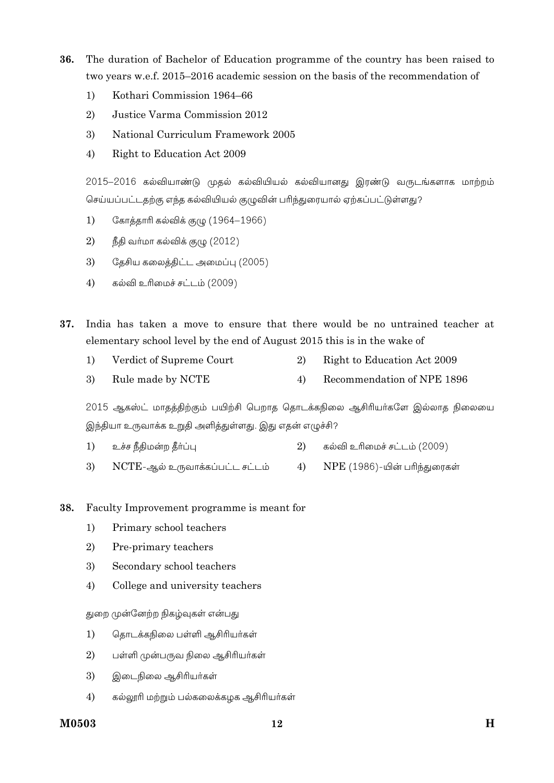- 36. The duration of Bachelor of Education programme of the country has been raised to two years w.e.f. 2015–2016 academic session on the basis of the recommendation of
	- $1)$ Kothari Commission 1964-66
	- 2) Justice Varma Commission 2012
	- National Curriculum Framework 2005 3)
	- 4) Right to Education Act 2009

2015–2016 கல்வியாண்டு முதல் கல்வியியல் கல்வியானது இரண்டு வருடங்களாக மாற்றம் செய்யப்பட்டதற்கு எந்த கல்வியியல் குழுவின் பரிந்துரையால் ஏற்கப்பட்டுள்ளது?

- கோத்தாரி கல்விக் குழு (1964–1966)  $1)$
- $2)$ நீதி வா்மா கல்விக் குழு (2012)
- 3) தேசிய கலைத்திட்ட அமைப்பு (2005)
- $4)$ கல்வி உரிமைச் சட்டம் (2009)

37. India has taken a move to ensure that there would be no untrained teacher at elementary school level by the end of August 2015 this is in the wake of

- $1)$ Verdict of Supreme Court  $2)$ Right to Education Act 2009
- Recommendation of NPE 1896 Rule made by NCTE 3) 4)

2015 ஆகஸ்ட் மாதத்திற்கும் பயிற்சி பெறாத தொடக்கநிலை ஆசிரியர்களே இல்லாத நிலையை இந்தியா உருவாக்க உறுதி அளித்துள்ளது. இது எதன் எழுச்சி?

- $1)$ உச்ச நீதிமன்ற தீர்ப்பு 2) கல்வி உரிமைச் சட்டம் (2009)
- 3)  $\text{NCTE}$ -அல் உருவாக்கப்பட்ட சட்டம் NPE (1986)-யின் பரிந்துரைகள் 4)
- 38. Faculty Improvement programme is meant for
	- $1)$ Primary school teachers
	- $\overline{2}$ Pre-primary teachers
	- 3) Secondary school teachers
	- $4)$ College and university teachers

துறை முன்னேற்ற நிகழ்வுகள் என்பது

- $1)$ தொடக்கநிலை பள்ளி ஆசிரியர்கள்
- $\overline{2}$ பள்ளி முன்பருவ நிலை ஆசிரியர்கள்
- 3) இடைநிலை ஆசிரியர்கள்
- $4)$ கல்லூரி மற்றும் பல்கலைக்கழக ஆசிரியா்கள்

**M0503**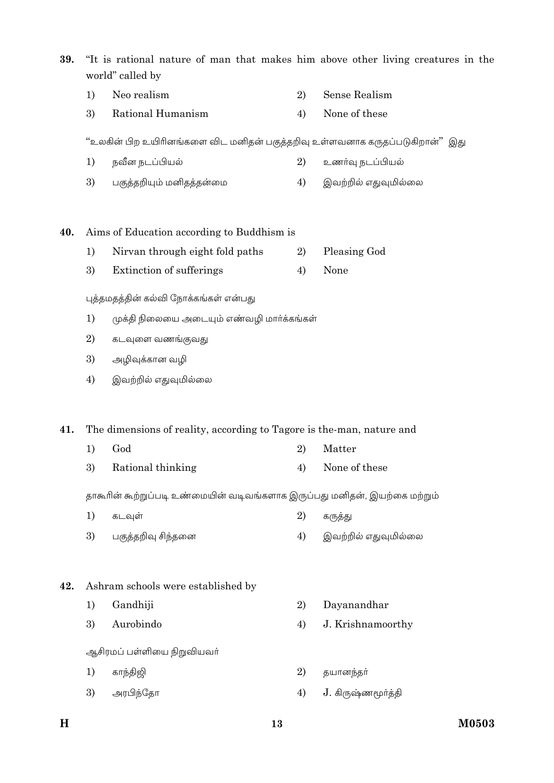"It is rational nature of man that makes him above other living creatures in the 39. world" called by

- Neo realism Sense Realism  $1)$ 2)
- Rational Humanism None of these 3)  $4)$

"உலகின் பிற உயிரினங்களை விட மனிதன் பகுத்தறிவு உள்ளவனாக கருதப்படுகிறான்" இது

- $1)$ நவீன நடப்பியல் 2) உணர்வு நடப்பியல்
- பகுத்தறியும் மனிதத்தன்மை 3)  $4)$ இவற்றில் எதுவுமில்லை

#### Aims of Education according to Buddhism is 40.

|    | Nirvan through eight fold paths | Pleasing God |
|----|---------------------------------|--------------|
| 3) | Extinction of sufferings        | None         |

- புத்தமதத்தின் கல்வி நோக்கங்கள் என்பது
- $1)$ முக்தி நிலையை அடையும் எண்வழி மார்க்கங்கள்
- கடவுளை வணங்குவது 2)
- 3) அழிவுக்கான வழி
- 4) இவற்றில் எதுவுமில்லை

The dimensions of reality, according to Tagore is the-man, nature and 41.

- $1)$ God  $2)$ Matter
- 3) Rational thinking  $4)$ None of these

தாகூரின் கூற்றுப்படி உண்மையின் வடிவங்களாக இருப்பது மனிதன், இயற்கை மற்றும்

- $1)$  $\overline{2}$ கடவுள் கருத்து
- 3) பகுத்தறிவு சிந்தனை  $4)$ இவற்றில் எதுவுமில்லை

### Ashram schools were established by 42.

- $1)$ Gandhiji Dayanandhar 2)
- 3) Aurobindo  $4)$ J. Krishnamoorthy

ஆசிரமப் பள்ளியை நிறுவியவர்

- $1)$ காந்திஜி 2) தயானந்தர்
- **J**. கிருஷ்ணமூர்த்தி அரபிந்தோ 3)  $4)$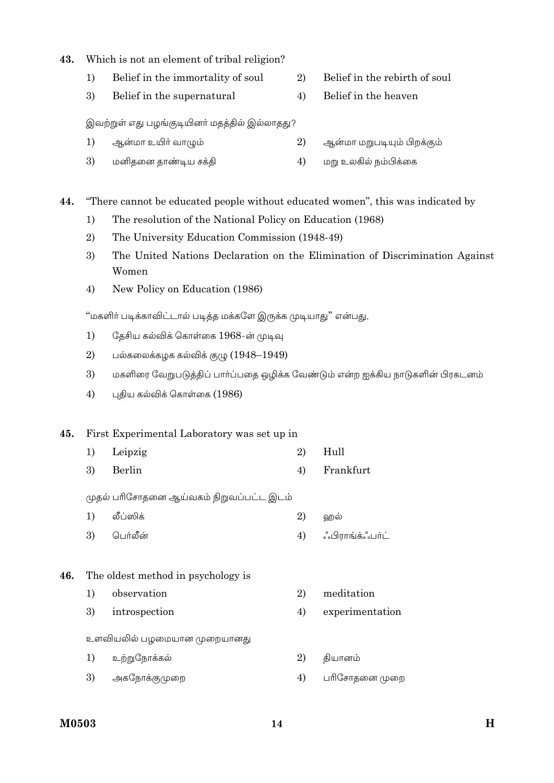#### 43. Which is not an element of tribal religion?

- Belief in the immortality of soul  $\overline{2}$ Belief in the rebirth of soul  $1)$
- 3) Belief in the supernatural 4) Belief in the heaven

இவற்றுள் எது பழங்குடியினர் மதத்தில் இல்லாதது?

- $1)$ ஆன்மா உயிர் வாழும் 2) ஆன்மா மறுபடியும் பிறக்கும்
- 3) மனிதனை தாண்டிய சக்தி 4) மறு உலகில் நம்பிக்கை

44. "There cannot be educated people without educated women", this was indicated by

- $1)$ The resolution of the National Policy on Education (1968)
- 2) The University Education Commission (1948-49)
- 3) The United Nations Declaration on the Elimination of Discrimination Against Women
- $4)$ New Policy on Education (1986)

"மகளிர் படிக்காவிட்டால் படித்த மக்களே இருக்க முடியாது" என்பது,

- $1)$ தேசிய கல்விக் கொள்கை 1968-ன் முடிவு
- $2)$ பல்கலைக்கழக கல்விக் குழு  $(1948-1949)$
- 3) மகளிரை வேறுபடுத்திப் பார்ப்பதை ஒழிக்க வேண்டும் என்ற ஐக்கிய நாடுகளின் பிரகடனம்
- $4)$  $\Box$ திய கல்விக் கொள்கை ( $1986$ )

### 45. First Experimental Laboratory was set up in

 $1)$ Leipzig Hull 2) Frankfurt 3) Berlin  $4)$ 

முதல் பரிசோதனை ஆய்வகம் நிறுவப்பட்ட இடம்

 $1)$ லீப்ஸிக் 2) ஹல் 3) பெர்லீன்  $4)$ **்பிராங்க்**ஃபர்ட்

#### 46. The oldest method in psychology is

- meditation  $1)$ observation 2)
- 3) introspection  $4)$ experimentation

## உளவியலில் பழமையான முறையானது

- $1)$ உற்றுநோக்கல்  $2)$ கியானம்
- 3) அகநோக்குமுறை  $4)$ பரிசோதனை முறை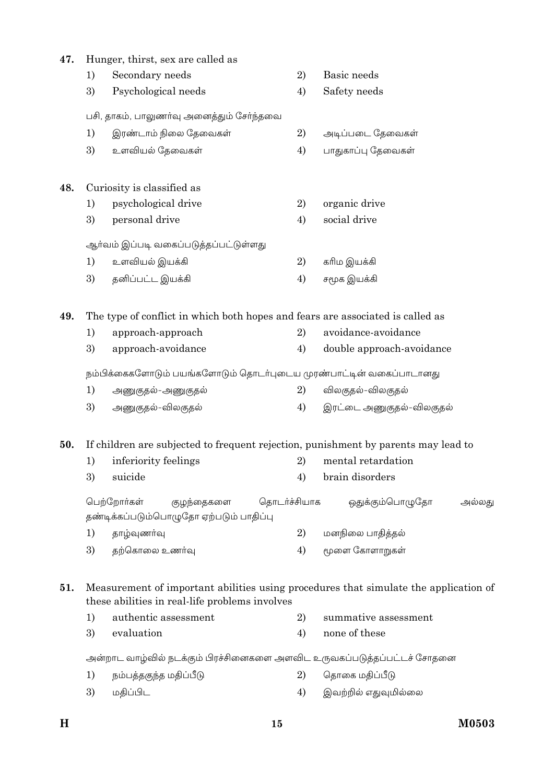| 47.                                                                                                     | Hunger, thirst, sex are called as |                                                                                                                                        |        |                           |
|---------------------------------------------------------------------------------------------------------|-----------------------------------|----------------------------------------------------------------------------------------------------------------------------------------|--------|---------------------------|
|                                                                                                         | 1)                                | Secondary needs                                                                                                                        | 2)     | Basic needs               |
|                                                                                                         | 3)                                | Psychological needs                                                                                                                    | 4)     | Safety needs              |
|                                                                                                         |                                   | பசி, தாகம், பாலுணா்வு அனைத்தும் சோ்ந்தவை                                                                                               |        |                           |
|                                                                                                         | 1)                                | இரண்டாம் நிலை தேவைகள்                                                                                                                  | 2)     | அடிப்படை தேவைகள்          |
|                                                                                                         | 3)                                | உளவியல் தேவைகள்                                                                                                                        | 4)     | பாதுகாப்பு தேவைகள்        |
| 48.                                                                                                     |                                   | Curiosity is classified as                                                                                                             |        |                           |
|                                                                                                         | 1)                                | psychological drive                                                                                                                    | 2)     | organic drive             |
|                                                                                                         | 3)                                | personal drive                                                                                                                         | 4)     | social drive              |
|                                                                                                         |                                   | ஆர்வம் இப்படி வகைப்படுத்தப்பட்டுள்ளது                                                                                                  |        |                           |
|                                                                                                         | 1)                                | உளவியல் இயக்கி                                                                                                                         | 2)     | கரிம இயக்கி               |
|                                                                                                         | 3)                                | தனிப்பட்ட இயக்கி                                                                                                                       | 4)     | சமூக இயக்கி               |
| 49.                                                                                                     |                                   | The type of conflict in which both hopes and fears are associated is called as                                                         |        |                           |
|                                                                                                         | 1)                                | approach-approach                                                                                                                      | 2)     | avoidance-avoidance       |
|                                                                                                         | 3)                                | approach-avoidance                                                                                                                     | 4)     | double approach-avoidance |
|                                                                                                         |                                   | நம்பிக்கைகளோடும் பயங்களோடும் தொடர்புடைய முரண்பாட்டின் வகைப்பாடானது                                                                     |        |                           |
|                                                                                                         | 1)                                | அணுகுதல்-அணுகுதல்                                                                                                                      | 2)     | விலகுதல்-விலகுதல்         |
|                                                                                                         | 3)                                | அணுகுதல்-விலகுதல்                                                                                                                      | 4)     | இரட்டை அணுகுதல்-விலகுதல்  |
| 50.                                                                                                     |                                   | If children are subjected to frequent rejection, punishment by parents may lead to                                                     |        |                           |
|                                                                                                         | 1)                                | inferiority feelings                                                                                                                   | 2)     | mental retardation        |
|                                                                                                         | 3)                                | suicide                                                                                                                                | 4)     | brain disorders           |
| தொடர்ச்சியாக<br>பெற்றோர்கள்<br>ஒதுக்கும்பொழுதோ<br>குழந்தைகளை<br>தண்டிக்கப்படும்பொழுதோ ஏற்படும் பாதிப்பு |                                   |                                                                                                                                        | அல்லது |                           |
|                                                                                                         | 1)                                | தாழ்வுணா்வு                                                                                                                            | 2)     | மனநிலை பாதித்தல்          |
|                                                                                                         | 3)                                | தற்கொலை உணர்வு                                                                                                                         | 4)     | மூளை கோளாறுகள்            |
| 51.                                                                                                     |                                   | Measurement of important abilities using procedures that simulate the application of<br>these abilities in real-life problems involves |        |                           |
|                                                                                                         | 1)                                | authentic assessment                                                                                                                   | 2)     | summative assessment      |
|                                                                                                         | 3)                                | evaluation                                                                                                                             | 4)     | none of these             |
|                                                                                                         |                                   | அன்றாட வாழ்வில் நடக்கும் பிரச்சினைகளை அளவிட உருவகப்படுத்தப்பட்டச் சோதனை                                                                |        |                           |
|                                                                                                         | 1)                                | நம்பத்தகுந்த மதிப்பீடு                                                                                                                 | 2)     | தொகை மதிப்பீடு            |
|                                                                                                         | 3)                                | மதிப்பிட                                                                                                                               | 4)     | இவற்றில் எதுவுமில்லை      |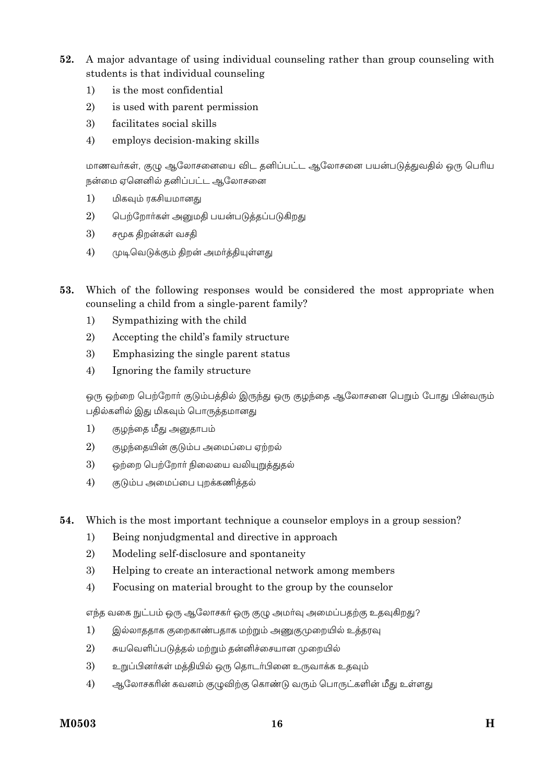- $52.$ A major advantage of using individual counseling rather than group counseling with students is that individual counseling
	- is the most confidential  $1)$
	- $2)$ is used with parent permission
	- 3) facilitates social skills
	- $4)$ employs decision-making skills

மாணவர்கள், குழு ஆலோசனையை விட தனிப்பட்ட ஆலோசனை பயன்படுத்துவதில் ஒரு பெரிய நன்மை ஏனெனில் தனிப்பட்ட ஆலோசனை

- $1)$ மிகவும் ரகசியமானது
- 2) பெற்றோர்கள் அனுமதி பயன்படுத்தப்படுகிறது
- 3) சமூக திறன்கள் வசதி
- 4) முடிவெடுக்கும் திறன் அமர்த்தியுள்ளது

53. Which of the following responses would be considered the most appropriate when counseling a child from a single-parent family?

- $1)$ Sympathizing with the child
- 2) Accepting the child's family structure
- 3) Emphasizing the single parent status
- $4)$ Ignoring the family structure

ஒரு ஒற்றை பெற்றோர் குடும்பத்தில் இருந்து ஒரு குழந்தை ஆலோசனை பெறும் போது பின்வரும் பதில்களில் இது மிகவும் பொருத்தமானது

- குழந்தை மீது அனுதாபம்  $1)$
- $\overline{2}$ குழந்தையின் குடும்ப அமைப்பை ஏற்றல்
- 3) ஒற்றை பெற்றோர் நிலையை வலியுறுத்துதல்
- 4) குடும்ப அமைப்பை புறக்கணித்தல்

54. Which is the most important technique a counselor employs in a group session?

- Being nonjudgmental and directive in approach  $1)$
- 2) Modeling self-disclosure and spontaneity
- 3) Helping to create an interactional network among members
- $4)$ Focusing on material brought to the group by the counselor

எந்த வகை நுட்பம் ஒரு ஆலோசகா் ஒரு குழு அமா்வு அமைப்பதற்கு உதவுகிறது?

- $1)$ இல்லாததாக குறைகாண்பதாக மற்றும் அணுகுமுறையில் உத்தரவு
- சுயவெளிப்படுத்தல் மற்றும் தன்னிச்சையான முறையில் 2)
- 3) உறுப்பினர்கள் மத்தியில் ஒரு தொடர்பினை உருவாக்க உதவும்
- $4)$ ஆலோசகரின் கவனம் குழுவிற்கு கொண்டு வரும் பொருட்களின் மீது உள்ளது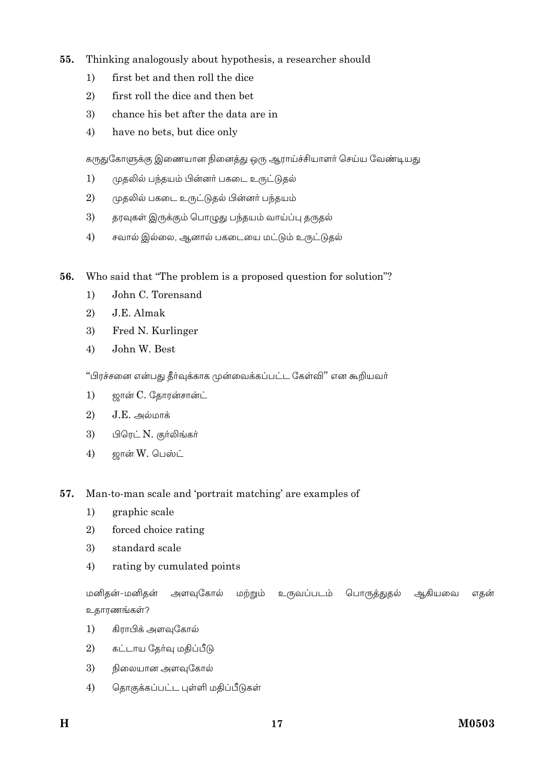### 55. Thinking analogously about hypothesis, a researcher should

- first bet and then roll the dice  $1)$
- 2) first roll the dice and then bet
- 3) chance his bet after the data are in
- 4) have no bets, but dice only

கருதுகோளுக்கு இணையான நினைத்து ஒரு ஆராய்ச்சியாளர் செய்ய வேண்டியது

- $1)$ முதலில் பந்தயம் பின்னர் பகடை உருட்டுதல்
- 2) முதலில் பகடை உருட்டுதல் பின்னர் பந்தயம்
- 3) தரவுகள் இருக்கும் பொழுது பந்தயம் வாய்ப்பு தருதல்
- 4) சவால் இல்லை, ஆனால் பகடையை மட்டும் உருட்டுதல்

Who said that "The problem is a proposed question for solution"? 56.

- John C. Torensand  $1)$
- $\mathbf{2}$ J.E. Almak
- 3) Fred N. Kurlinger
- John W. Best  $4)$

"பிரச்சனை என்பது தீர்வுக்காக முன்வைக்கப்பட்ட கேள்வி" என கூறியவர்

- ஜான் C. தோரன்சான்ட்  $1)$
- $\overline{2}$  $J.E.$  அல்மாக்
- $3)$ பிரெட் N. குர்லிங்கர்
- ஜான் W. பெஸ்ட்  $4)$
- 57. Man-to-man scale and 'portrait matching' are examples of
	- graphic scale  $1)$
	- $2)$ forced choice rating
	- 3) standard scale
	- $4)$ rating by cumulated points

மனிதன்-மனிதன் அளவுகோல் ஆகியவை மற்றும் உருவப்படம் பொருத்துதல் எதன் உதாரணங்கள்?

- கிராபிக் அளவுகோல்  $1)$
- $2)$ கட்டாய தேர்வு மதிப்பீடு
- 3) நிலையான அளவுகோல்
- $4)$ தொகுக்கப்பட்ட புள்ளி மதிப்பீடுகள்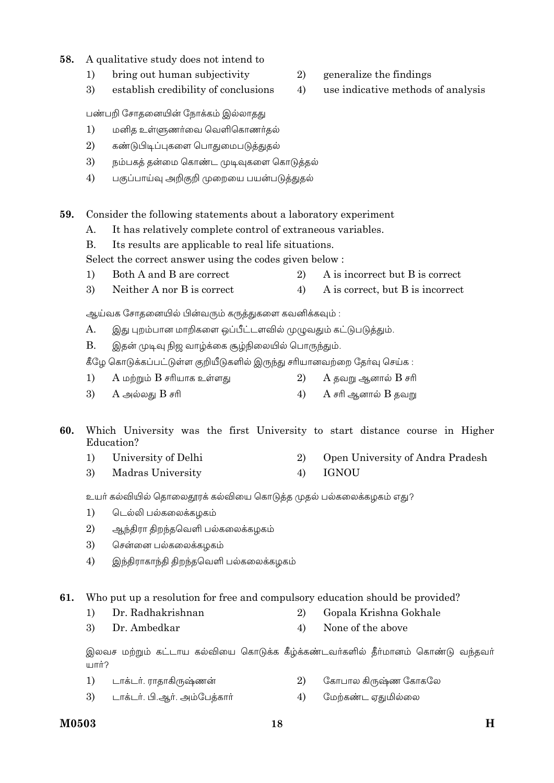#### A qualitative study does not intend to 58.

- bring out human subjectivity  $\left( \right)$
- 3) establish credibility of conclusions

பண்பறி சோதனையின் நோக்கம் இல்லாதது

- மனித உள்ளுணர்வை வெளிகொணர்தல்  $1)$
- 2) கண்டுபிடிப்புகளை பொதுமைபடுத்துதல்
- 3) நம்பகத் தன்மை கொண்ட முடிவுகளை கொடுத்தல்
- $4)$ பகுப்பாய்வு அறிகுறி முறையை பயன்படுத்துதல்
- 59. Consider the following statements about a laboratory experiment
	- It has relatively complete control of extraneous variables.  $A$ .

**B.** Its results are applicable to real life situations.

Select the correct answer using the codes given below:

- Both A and B are correct A is incorrect but B is correct  $1)$ 2)
- 3) Neither A nor B is correct  $4)$ A is correct, but B is incorrect

ஆய்வக சோதனையில் பின்வரும் கருத்துகளை கவனிக்கவும் :

- இது புறம்பான மாறிகளை ஒப்பீட்டளவில் முழுவதும் கட்டுபடுத்தும். A.
- **B.** இதன் முடிவு நிஜ வாழ்க்கை சூழ்நிலையில் பொருந்தும்.

கீமே கொடுக்கப்பட்டுள்ள குறியீடுகளில் இருந்து சரியானவற்றை கேர்வு செய்க :

- $A$  மற்றும்  $B$  சரியாக உள்ளது  $A$  தவறு ஆனால்  $B$  சரி  $1)$ 2)
- 3)  $A$  அல்லது  $B$  சரி 4)  $A$  சரி ஆனால்  $B$  தவறு

60. Which University was the first University to start distance course in Higher Education?

- Open University of Andra Pradesh  $1)$ University of Delhi 2)
- 3) **Madras University**  $4)$ **IGNOU**

உயர் கல்வியில் தொலைதூரக் கல்வியை கொடுத்த முதல் பல்கலைக்கழகம் எது?

- $1)$ டெல்லி பல்கலைக்கழகம்
- $\overline{2}$ ஆந்திரா திறந்தவெளி பல்கலைக்கமுகம்
- 3) சென்னை பல்கலைக்கழகம்
- $4)$ இந்திராகாந்தி திறந்தவெளி பல்கலைக்கழகம்

61. Who put up a resolution for free and compulsory education should be provided?

- $1)$ Dr. Radhakrishnan 2) Gopala Krishna Gokhale
- $\overline{3}$ Dr Amhedkar  $4)$ None of the above

இலவச மற்றும் கட்டாய கல்வியை கொடுக்க கீழ்க்கண்டவர்களில் தீர்மானம் கொண்டு வந்தவர் யார்?

- டாக்டர். ராதாகிருஷ்ணன்  $(2)$ கோபால கிருஷ்ண கோகலே  $1)$
- 3) மேற்கண்ட ஏதுமில்லை டாக்டர். பி.ஆர். அம்பேத்கார்  $4)$
- 2) generalize the findings
- 4) use indicative methods of analysis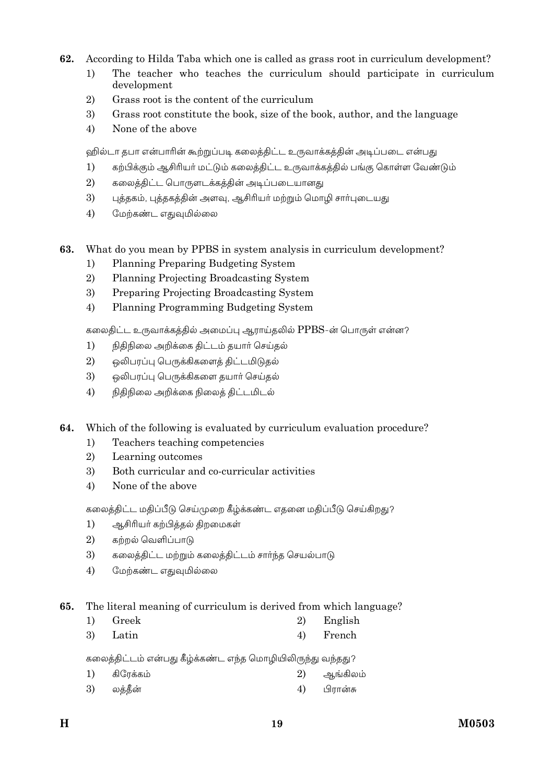- **62.** According to Hilda Taba which one is called as grass root in curriculum development?
	- 1) The teacher who teaches the curriculum should participate in curriculum development
	- 2) Grass root is the content of the curriculum
	- 3) Grass root constitute the book, size of the book, author, and the language
	- 4) None of the above

் வில்டா தபா என்பாரின் கூற்றுப்படி கலைத்திட்ட உருவாக்கத்தின் அடிப்படை என்பது

- 1) கற்பிக்கும் ஆசிரியர் மட்டும் கலைத்திட்ட உருவாக்கத்தில் பங்கு கொள்ள வேண்டும்
- $2$ ) கலைத்திட்ட பொருளடக்கத்தின் அடிப்படையானது
- 3) புத்தகம், புத்தகத்தின் அளவு, ஆசிரியர் மற்றும் மொழி சார்புடையது
- 4) மேற்கண்ட எதுவுமில்லை
- **63.** What do you mean by PPBS in system analysis in curriculum development?
	- 1) Planning Preparing Budgeting System
	- 2) Planning Projecting Broadcasting System
	- 3) Preparing Projecting Broadcasting System
	- 4) Planning Programming Budgeting System

கலைதிட்ட உருவாக்கத்தில் அமைப்பு ஆராய்தலில்  $\mathrm{PPBS}$ -ன் பொருள் என்ன?

- 1) நிதிநிலை அறிக்கை திட்டம் தயார் செய்தல்
- 2) ஒலிபரப்பு பெருக்கிகளைத் திட்டமிடுதல்
- 3) ஒலிபரப்பு பெருக்கிகளை தயார் செய்தல்
- $4)$  நிதிநிலை அறிக்கை நிலைத் திட்டமிடல்
- **64.** Which of the following is evaluated by curriculum evaluation procedure?
	- 1) Teachers teaching competencies
	- 2) Learning outcomes
	- 3) Both curricular and co-curricular activities
	- 4) None of the above

கலைத்திட்ட மதிப்பீடு செய்முறை கீழ்க்கண்ட எதனை மதிப்பீடு செய்கிறது?

- 1) ஆசிரியர் கற்பித்தல் திறமைகள்
- $2)$  கற்றல் வெளிப்பாடு
- 3) கலைத்திட்ட மற்றும் கலைத்திட்டம் சார்ந்த செயல்பாடு
- 4) மேற்கண்ட எதுவுமில்லை

**65.** The literal meaning of curriculum is derived from which language?

- 1) Greek 2) English
- 3) Latin 4) French

கலைத்திட்டம் என்பது கீழ்க்கண்ட எந்த மொழியிலிருந்து வந்தது?

- $1)$  கிரேக்கம்  $2)$  ஆங்கிலம்
- 3) »zwß 4) ¤μõß\_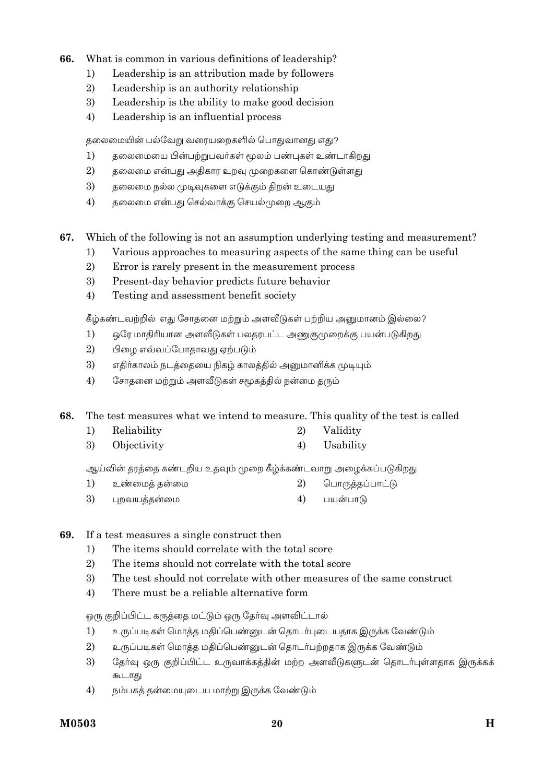- 66. What is common in various definitions of leadership?
	- Leadership is an attribution made by followers  $1)$
	- $\overline{2}$ Leadership is an authority relationship
	- 3) Leadership is the ability to make good decision
	- $4)$ Leadership is an influential process

தலைமையின் பல்வேறு வரையறைகளில் பொதுவானது எது?

- தலைமையை பின்பற்றுபவர்கள் மூலம் பண்புகள் உண்டாகிறது  $1)$
- $2)$ தலைமை என்பது அதிகார உறவு முறைகளை கொண்டுள்ளது
- 3) தலைமை நல்ல முடிவுகளை எடுக்கும் திறன் உடையது
- $\overline{4}$ தலைமை என்பது செல்வாக்கு செயல்முறை ஆகும்

#### 67. Which of the following is not an assumption underlying testing and measurement?

- Various approaches to measuring aspects of the same thing can be useful  $1)$
- $\overline{2}$ Error is rarely present in the measurement process
- $\mathfrak{Z}$ Present-day behavior predicts future behavior
- $4)$ Testing and assessment benefit society

கீழ்கண்டவற்றில் எது சோதனை மற்றும் அளவீடுகள் பற்றிய அனுமானம் இல்லை?

- $1)$ ஒரே மாதிரியான அளவீடுகள் பலதரபட்ட அணுகுமுறைக்கு பயன்படுகிறது
- 2) பிழை எவ்வப்போதாவது ஏற்படும்
- எதிர்காலம் நடத்தையை நிகழ் காலத்தில் அனுமானிக்க முடியும் 3)
- $4)$ சோதனை மற்றும் அளவீடுகள் சமூகத்தில் நன்மை தரும்

68. The test measures what we intend to measure. This quality of the test is called

- $1)$ Reliability  $(2)$ Validity
- $\overline{3}$ Objectivity  $4)$ Usability

ஆய்வின் தரத்தை கண்டறிய உதவும் முறை கீழ்க்கண்டவாறு அழைக்கப்படுகிறது

- $1)$ உண்மைத் தன்மை 2) பொருத்தப்பாட்டு
- 3) 4) புறவயத்தன்மை பயன்பாடு
- If a test measures a single construct then 69.
	- The items should correlate with the total score  $1)$
	- 2) The items should not correlate with the total score
	- 3) The test should not correlate with other measures of the same construct
	- $4)$ There must be a reliable alternative form

ஒரு குறிப்பிட்ட கருத்தை மட்டும் ஒரு தேர்வு அளவிட்டால்

- உருப்படிகள் மொத்த மதிப்பெண்னுடன் தொடர்புடையதாக இருக்க வேண்டும்  $1)$
- $\overline{2}$ உருப்படிகள் மொத்த மதிப்பெண்னுடன் தொடர்பற்றதாக இருக்க வேண்டும்
- 3) தேர்வு ஒரு குறிப்பிட்ட உருவாக்கத்தின் மற்ற அளவீடுகளுடன் தொடர்புள்ளதாக இருக்கக் கூடாது
- $4)$ நம்பகத் தன்மையுடைய மாற்று இருக்க வேண்டும்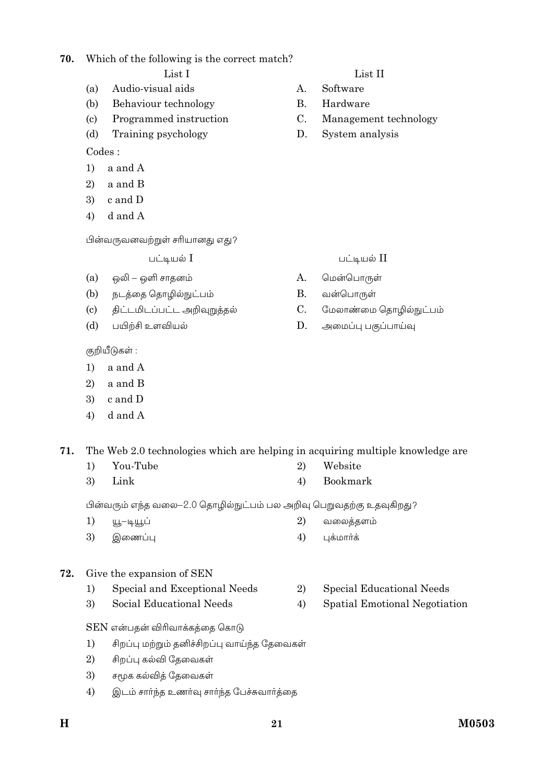### 70 Which of the following is the correct match?

## List<sub>I</sub>

- Audio-visual aids  $(a)$
- (b) Behaviour technology
- $\left( \mathrm{e}\right)$ Programmed instruction
- $(d)$ Training psychology

Codes:

- $1)$ a and A
- $\overline{2}$ a and B
- c and D  $\mathfrak{Z}$
- $4)$ d and A

பின்வருவனவற்றுள் சரியானது எது?

# பட்டியல் I

- ஒலி ஒளி சாதனம்  $(a)$
- $(b)$ நடத்தை தொழில்நுட்பம்
- $\left( \mathrm{e}\right)$ திட்டமிடப்பட்ட அறிவுறுத்தல்
- $(d)$ பயிற்சி உளவியல்

குறியீடுகள் :

- $1)$ a and A
- $(2)$ a and B
- 3) c and D
- $\overline{4}$ d and A

71. The Web 2.0 technologies which are helping in acquiring multiple knowledge are

 $\overline{2}$ 

 $2)$ 

- You-Tube  $1)$
- 3) Link  $4)$ Bookmark

பின்வரும் எந்த வலை–2.0 தொழில்நுட்பம் பல அறிவு பெறுவதற்கு உதவுகிறது?

- 2) வலைத்தளம்  $1)$ யூ–டியூப்
	- 3) இணைப்பு  $4)$ புக்மார்க்

### 72. Give the expansion of SEN

- $1)$ Special and Exceptional Needs
- Social Educational Needs 3) 4)
- SEN என்பதன் விரிவாக்கத்தை கொடு
- சிறப்பு மற்றும் தனிச்சிறப்பு வாய்ந்த தேவைகள்  $1)$
- $2)$ சிறப்பு கல்வி தேவைகள்
- 3) சமூக கல்வித் தேவைகள்
- $4)$ இடம் சார்ந்த உணர்வு சார்ந்த பேச்சுவார்த்தை

# List<sub>II</sub>

- Software  $\mathbf{A}$
- $B<sub>1</sub>$ Hardware
- $C_{\cdot}$ Management technology
- $D_{\cdot}$ System analysis

# பட்டியல் II

- A. மென்பொருள்
- $B<sub>r</sub>$ வன்பொருள்

Website

**Special Educational Needs** 

Spatial Emotional Negotiation

- $C_{\cdot}$ மேலாண்மை தொழில்நுட்பம்
- $D_{\cdot}$ அமைப்பு பகுப்பாய்வு

M0503

 $H$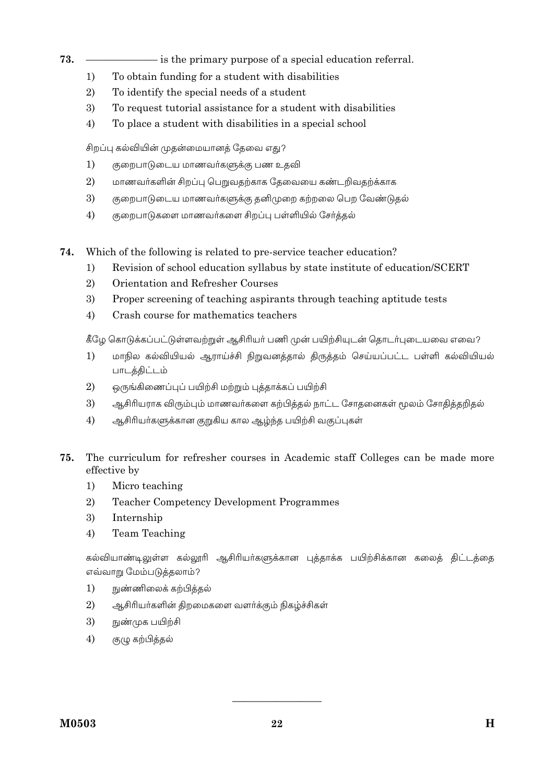### 73. is the primary purpose of a special education referral.

- To obtain funding for a student with disabilities  $1)$
- $2)$ To identify the special needs of a student
- 3) To request tutorial assistance for a student with disabilities
- To place a student with disabilities in a special school  $4)$

சிறப்பு கல்வியின் முதன்மையானத் தேவை எது?

- $1)$ குறைபாடுடைய மாணவர்களுக்கு பண உதவி
- 2) மாணவர்களின் சிறப்பு பெறுவதற்காக தேவையை கண்டறிவதற்க்காக
- 3) குறைபாடுடைய மாணவர்களுக்கு தனிமுறை கற்றலை பெற வேண்டுதல்
- குறைபாடுகளை மாணவர்களை சிறப்பு பள்ளியில் சேர்த்தல்  $4)$
- Which of the following is related to pre-service teacher education? 74.
	- $1)$ Revision of school education syllabus by state institute of education/SCERT
	- 2) Orientation and Refresher Courses
	- 3) Proper screening of teaching aspirants through teaching aptitude tests
	- Crash course for mathematics teachers 4)

கீழே கொடுக்கப்பட்டுள்ளவற்றுள் ஆசிரியர் பணி முன் பயிற்சியுடன் தொடர்புடையவை எவை?

- $1)$ மாநில கல்வியியல் ஆராய்ச்சி நிறுவனத்தால் திருத்தம் செய்யப்பட்ட பள்ளி கல்வியியல் பாடத்திட்டம்
- 2) ஒருங்கிணைப்புப் பயிற்சி மற்றும் புத்தாக்கப் பயிற்சி
- 3) ஆசிரியராக விரும்பும் மாணவர்களை கற்பித்தல் நாட்ட சோதனைகள் மூலம் சோதித்தறிதல்
- $4)$ ஆசிரியா்களுக்கான குறுகிய கால ஆழ்ந்த பயிற்சி வகுப்புகள்
- The curriculum for refresher courses in Academic staff Colleges can be made more 75. effective by
	- Micro teaching  $1)$
	- 2) **Teacher Competency Development Programmes**
	- 3) Internship
	- $4)$ Team Teaching

கல்வியாண்டிலுள்ள கல்லூரி ஆசிரியர்களுக்கான புத்தாக்க பயிற்சிக்கான கலைத் திட்டத்தை எவ்வாறு மேம்படுத்தலாம்?

- $1)$ நுண்ணிலைக் கற்பித்தல்
- 2) ஆசிரியா்களின் திறமைகளை வளா்க்கும் நிகழ்ச்சிகள்
- 3) நுண்முக பயிற்சி
- $4)$ குழு கற்பித்தல்